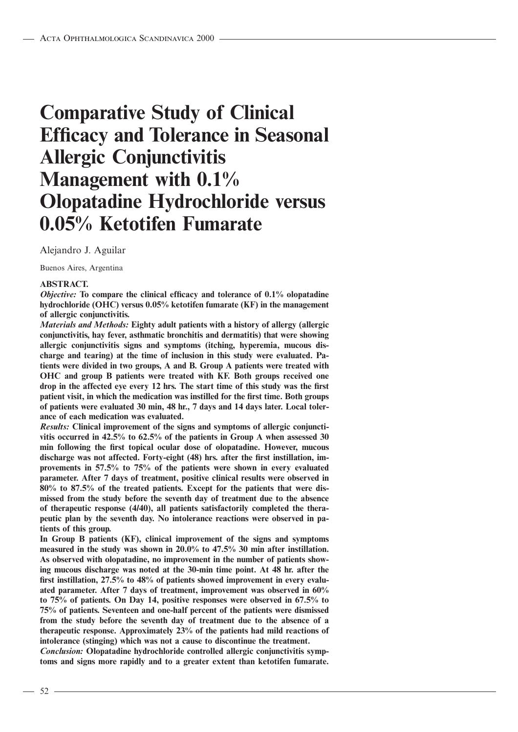# **Comparative Study of Clinical Efficacy and Tolerance in Seasonal Allergic Conjunctivitis Management with 0.1% Olopatadine Hydrochloride versus 0.05% Ketotifen Fumarate**

Alejandro J. Aguilar

Buenos Aires, Argentina

#### **ABSTRACT.**

*Objective:* **To compare the clinical efficacy and tolerance of 0.1% olopatadine hydrochloride (OHC) versus 0.05% ketotifen fumarate (KF) in the management of allergic conjunctivitis.**

*Materials and Methods:* **Eighty adult patients with a history of allergy (allergic conjunctivitis, hay fever, asthmatic bronchitis and dermatitis) that were showing allergic conjunctivitis signs and symptoms (itching, hyperemia, mucous discharge and tearing) at the time of inclusion in this study were evaluated. Patients were divided in two groups, A and B. Group A patients were treated with OHC and group B patients were treated with KF. Both groups received one drop in the affected eye every 12 hrs. The start time of this study was the first patient visit, in which the medication was instilled for the first time. Both groups of patients were evaluated 30 min, 48 hr., 7 days and 14 days later. Local tolerance of each medication was evaluated.**

*Results:* **Clinical improvement of the signs and symptoms of allergic conjunctivitis occurred in 42.5% to 62.5% of the patients in Group A when assessed 30 min following the first topical ocular dose of olopatadine. However, mucous discharge was not affected. Forty-eight (48) hrs. after the first instillation, improvements in 57.5% to 75% of the patients were shown in every evaluated parameter. After 7 days of treatment, positive clinical results were observed in 80% to 87.5% of the treated patients. Except for the patients that were dismissed from the study before the seventh day of treatment due to the absence of therapeutic response (4/40), all patients satisfactorily completed the therapeutic plan by the seventh day. No intolerance reactions were observed in patients of this group.**

**In Group B patients (KF), clinical improvement of the signs and symptoms measured in the study was shown in 20.0% to 47.5% 30 min after instillation. As observed with olopatadine, no improvement in the number of patients showing mucous discharge was noted at the 30-min time point. At 48 hr. after the first instillation, 27.5% to 48% of patients showed improvement in every evaluated parameter. After 7 days of treatment, improvement was observed in 60% to 75% of patients. On Day 14, positive responses were observed in 67.5% to 75% of patients. Seventeen and one-half percent of the patients were dismissed from the study before the seventh day of treatment due to the absence of a therapeutic response. Approximately 23% of the patients had mild reactions of intolerance (stinging) which was not a cause to discontinue the treatment.**

*Conclusion:* **Olopatadine hydrochloride controlled allergic conjunctivitis symptoms and signs more rapidly and to a greater extent than ketotifen fumarate.**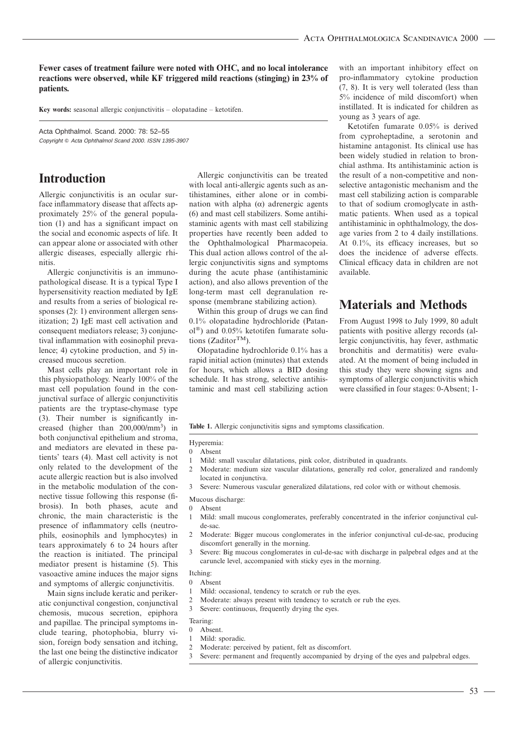**Fewer cases of treatment failure were noted with OHC, and no local intolerance reactions were observed, while KF triggered mild reactions (stinging) in 23% of patients.**

**Key words:** seasonal allergic conjunctivitis – olopatadine – ketotifen.

Acta Ophthalmol. Scand. 2000: 78: 52–55 Copyright © Acta Ophthalmol Scand 2000, ISSN 1395-3907

## **Introduction**

Allergic conjunctivitis is an ocular surface inflammatory disease that affects approximately 25% of the general population (1) and has a significant impact on the social and economic aspects of life. It can appear alone or associated with other allergic diseases, especially allergic rhinitis.

Allergic conjunctivitis is an immunopathological disease. It is a typical Type I hypersensitivity reaction mediated by IgE and results from a series of biological responses (2): 1) environment allergen sensitization; 2) IgE mast cell activation and consequent mediators release; 3) conjunctival inflammation with eosinophil prevalence; 4) cytokine production, and 5) increased mucous secretion.

Mast cells play an important role in this physiopathology. Nearly 100% of the mast cell population found in the conjunctival surface of allergic conjunctivitis patients are the tryptase-chymase type (3). Their number is significantly increased (higher than 200,000/mm<sup>3</sup>) in both conjunctival epithelium and stroma, and mediators are elevated in these patients' tears (4). Mast cell activity is not only related to the development of the acute allergic reaction but is also involved in the metabolic modulation of the connective tissue following this response (fibrosis). In both phases, acute and chronic, the main characteristic is the presence of inflammatory cells (neutrophils, eosinophils and lymphocytes) in tears approximately 6 to 24 hours after the reaction is initiated. The principal mediator present is histamine (5). This vasoactive amine induces the major signs and symptoms of allergic conjunctivitis.

Main signs include keratic and perikeratic conjunctival congestion, conjunctival chemosis, mucous secretion, epiphora and papillae. The principal symptoms include tearing, photophobia, blurry vision, foreign body sensation and itching, the last one being the distinctive indicator of allergic conjunctivitis.

Allergic conjunctivitis can be treated with local anti-allergic agents such as antihistamines, either alone or in combination with alpha  $(\alpha)$  adrenergic agents (6) and mast cell stabilizers. Some antihistaminic agents with mast cell stabilizing properties have recently been added to the Ophthalmological Pharmacopeia. This dual action allows control of the allergic conjunctivitis signs and symptoms during the acute phase (antihistaminic action), and also allows prevention of the long-term mast cell degranulation response (membrane stabilizing action).

Within this group of drugs we can find 0.1% olopatadine hydrochloride (Patan $ol^{\circledR}$ ) and 0.05% ketotifen fumarate solutions (Zaditor $^{TM}$ ).

Olopatadine hydrochloride 0.1% has a rapid initial action (minutes) that extends for hours, which allows a BID dosing schedule. It has strong, selective antihistaminic and mast cell stabilizing action

with an important inhibitory effect on pro-inflammatory cytokine production (7, 8). It is very well tolerated (less than 5% incidence of mild discomfort) when instillated. It is indicated for children as young as 3 years of age.

Ketotifen fumarate 0.05% is derived from cyproheptadine, a serotonin and histamine antagonist. Its clinical use has been widely studied in relation to bronchial asthma. Its antihistaminic action is the result of a non-competitive and nonselective antagonistic mechanism and the mast cell stabilizing action is comparable to that of sodium cromoglycate in asthmatic patients. When used as a topical antihistaminic in ophthalmology, the dosage varies from 2 to 4 daily instillations. At 0.1%, its efficacy increases, but so does the incidence of adverse effects. Clinical efficacy data in children are not available.

# **Materials and Methods**

From August 1998 to July 1999, 80 adult patients with positive allergy records (allergic conjunctivitis, hay fever, asthmatic bronchitis and dermatitis) were evaluated. At the moment of being included in this study they were showing signs and symptoms of allergic conjunctivitis which were classified in four stages: 0-Absent; 1-

**Table 1.** Allergic conjunctivitis signs and symptoms classification.

#### Hyperemia:

- 0 Absent
- 1 Mild: small vascular dilatations, pink color, distributed in quadrants.
- 2 Moderate: medium size vascular dilatations, generally red color, generalized and randomly located in conjunctiva.
- 3 Severe: Numerous vascular generalized dilatations, red color with or without chemosis.
- Mucous discharge:
- 0 Absent
- 1 Mild: small mucous conglomerates, preferably concentrated in the inferior conjunctival culde-sac.
- 2 Moderate: Bigger mucous conglomerates in the inferior conjunctival cul-de-sac, producing discomfort generally in the morning.
- 3 Severe: Big mucous conglomerates in cul-de-sac with discharge in palpebral edges and at the caruncle level, accompanied with sticky eyes in the morning.

#### Itching:

- 0 Absent
- Mild: occasional, tendency to scratch or rub the eyes.
- 2 Moderate: always present with tendency to scratch or rub the eyes.
- 3 Severe: continuous, frequently drying the eyes.
- Tearing:
- 0 Absent.
- Mild: sporadic.
- 2 Moderate: perceived by patient, felt as discomfort.
- 3 Severe: permanent and frequently accompanied by drying of the eyes and palpebral edges.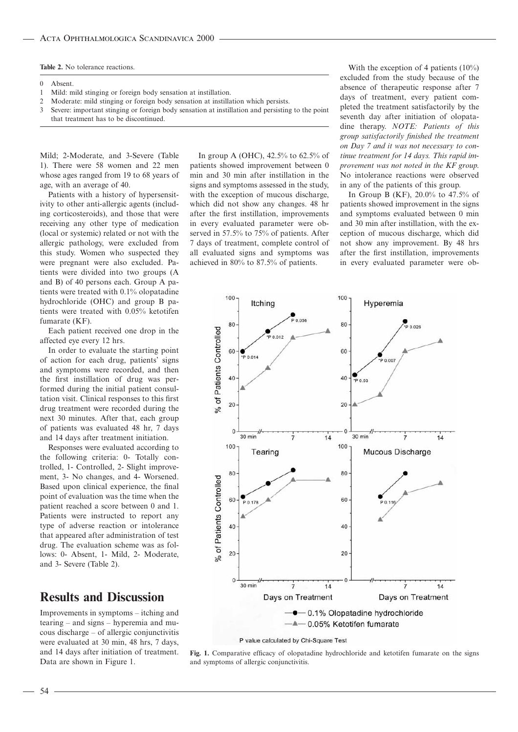**Table 2.** No tolerance reactions.

- 0 Absent.
- 1 Mild: mild stinging or foreign body sensation at instillation.
- 2 Moderate: mild stinging or foreign body sensation at instillation which persists.
- 3 Severe: important stinging or foreign body sensation at instillation and persisting to the point that treatment has to be discontinued.

Mild; 2-Moderate, and 3-Severe (Table 1). There were 58 women and 22 men whose ages ranged from 19 to 68 years of age, with an average of 40.

Patients with a history of hypersensitivity to other anti-allergic agents (including corticosteroids), and those that were receiving any other type of medication (local or systemic) related or not with the allergic pathology, were excluded from this study. Women who suspected they were pregnant were also excluded. Patients were divided into two groups (A and B) of 40 persons each. Group A patients were treated with 0.1% olopatadine hydrochloride (OHC) and group B patients were treated with 0.05% ketotifen fumarate (KF).

Each patient received one drop in the affected eye every 12 hrs.

In order to evaluate the starting point of action for each drug, patients' signs and symptoms were recorded, and then the first instillation of drug was performed during the initial patient consultation visit. Clinical responses to this first drug treatment were recorded during the next 30 minutes. After that, each group of patients was evaluated 48 hr, 7 days and 14 days after treatment initiation.

Responses were evaluated according to the following criteria: 0- Totally controlled, 1- Controlled, 2- Slight improvement, 3- No changes, and 4- Worsened. Based upon clinical experience, the final point of evaluation was the time when the patient reached a score between 0 and 1. Patients were instructed to report any type of adverse reaction or intolerance that appeared after administration of test drug. The evaluation scheme was as follows: 0- Absent, 1- Mild, 2- Moderate, and 3- Severe (Table 2).

# **Results and Discussion**

Improvements in symptoms – itching and tearing – and signs – hyperemia and mucous discharge – of allergic conjunctivitis were evaluated at 30 min, 48 hrs, 7 days, and 14 days after initiation of treatment. Data are shown in Figure 1.

In group A (OHC), 42.5% to 62.5% of patients showed improvement between 0 min and 30 min after instillation in the signs and symptoms assessed in the study, with the exception of mucous discharge, which did not show any changes. 48 hr after the first instillation, improvements in every evaluated parameter were observed in 57.5% to 75% of patients. After 7 days of treatment, complete control of all evaluated signs and symptoms was achieved in 80% to 87.5% of patients.

With the exception of 4 patients (10%) excluded from the study because of the absence of therapeutic response after 7 days of treatment, every patient completed the treatment satisfactorily by the seventh day after initiation of olopatadine therapy. *NOTE: Patients of this group satisfactorily finished the treatment on Day 7 and it was not necessary to continue treatment for 14 days. This rapid improvement was not noted in the KF group*. No intolerance reactions were observed in any of the patients of this group.

In Group B (KF), 20.0% to 47.5% of patients showed improvement in the signs and symptoms evaluated between 0 min and 30 min after instillation, with the exception of mucous discharge, which did not show any improvement. By 48 hrs after the first instillation, improvements in every evaluated parameter were ob-



P value calculated by Chi-Square Test

**Fig. 1.** Comparative efficacy of olopatadine hydrochloride and ketotifen fumarate on the signs and symptoms of allergic conjunctivitis.